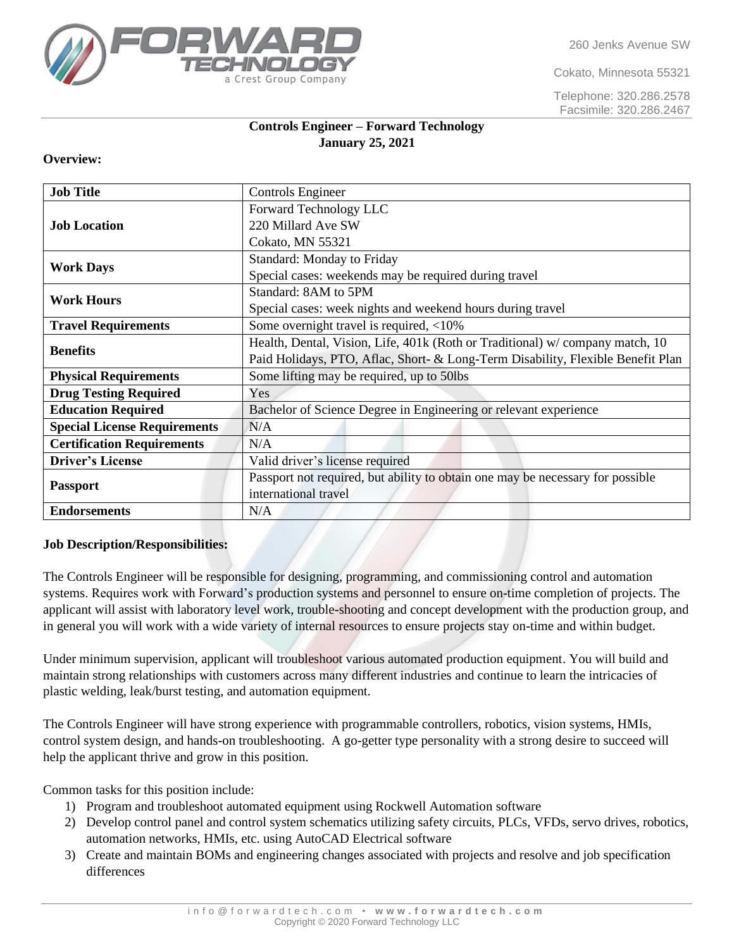260 Jenks Avenue SW

Cokato, Minnesota 55321

Telephone: 320.286.2578 Facsimile: 320.286.2467

# Crest Group Company

# **Controls Engineer – Forward Technology January 25, 2021**

# **Overview:**

| <b>Job Title</b>                    | Controls Engineer                                                               |
|-------------------------------------|---------------------------------------------------------------------------------|
| <b>Job Location</b>                 | Forward Technology LLC                                                          |
|                                     | 220 Millard Ave SW                                                              |
|                                     | Cokato, MN 55321                                                                |
| <b>Work Days</b>                    | <b>Standard: Monday to Friday</b>                                               |
|                                     | Special cases: weekends may be required during travel                           |
| <b>Work Hours</b>                   | Standard: 8AM to 5PM                                                            |
|                                     | Special cases: week nights and weekend hours during travel                      |
| <b>Travel Requirements</b>          | Some overnight travel is required, <10%                                         |
| <b>Benefits</b>                     | Health, Dental, Vision, Life, 401k (Roth or Traditional) w/company match, 10    |
|                                     | Paid Holidays, PTO, Aflac, Short- & Long-Term Disability, Flexible Benefit Plan |
| <b>Physical Requirements</b>        | Some lifting may be required, up to 50lbs                                       |
| <b>Drug Testing Required</b>        | Yes                                                                             |
| <b>Education Required</b>           | Bachelor of Science Degree in Engineering or relevant experience                |
| <b>Special License Requirements</b> | N/A                                                                             |
| <b>Certification Requirements</b>   | N/A                                                                             |
| <b>Driver's License</b>             | Valid driver's license required                                                 |
| <b>Passport</b>                     | Passport not required, but ability to obtain one may be necessary for possible  |
|                                     | international travel                                                            |
| <b>Endorsements</b>                 | N/A                                                                             |

# **Job Description/Responsibilities:**

The Controls Engineer will be responsible for designing, programming, and commissioning control and automation systems. Requires work with Forward's production systems and personnel to ensure on-time completion of projects. The applicant will assist with laboratory level work, trouble-shooting and concept development with the production group, and in general you will work with a wide variety of internal resources to ensure projects stay on-time and within budget.

Under minimum supervision, applicant will troubleshoot various automated production equipment. You will build and maintain strong relationships with customers across many different industries and continue to learn the intricacies of plastic welding, leak/burst testing, and automation equipment.

The Controls Engineer will have strong experience with programmable controllers, robotics, vision systems, HMIs, control system design, and hands-on troubleshooting. A go-getter type personality with a strong desire to succeed will help the applicant thrive and grow in this position.

Common tasks for this position include:

- 1) Program and troubleshoot automated equipment using Rockwell Automation software
- 2) Develop control panel and control system schematics utilizing safety circuits, PLCs, VFDs, servo drives, robotics, automation networks, HMIs, etc. using AutoCAD Electrical software
- 3) Create and maintain BOMs and engineering changes associated with projects and resolve and job specification differences